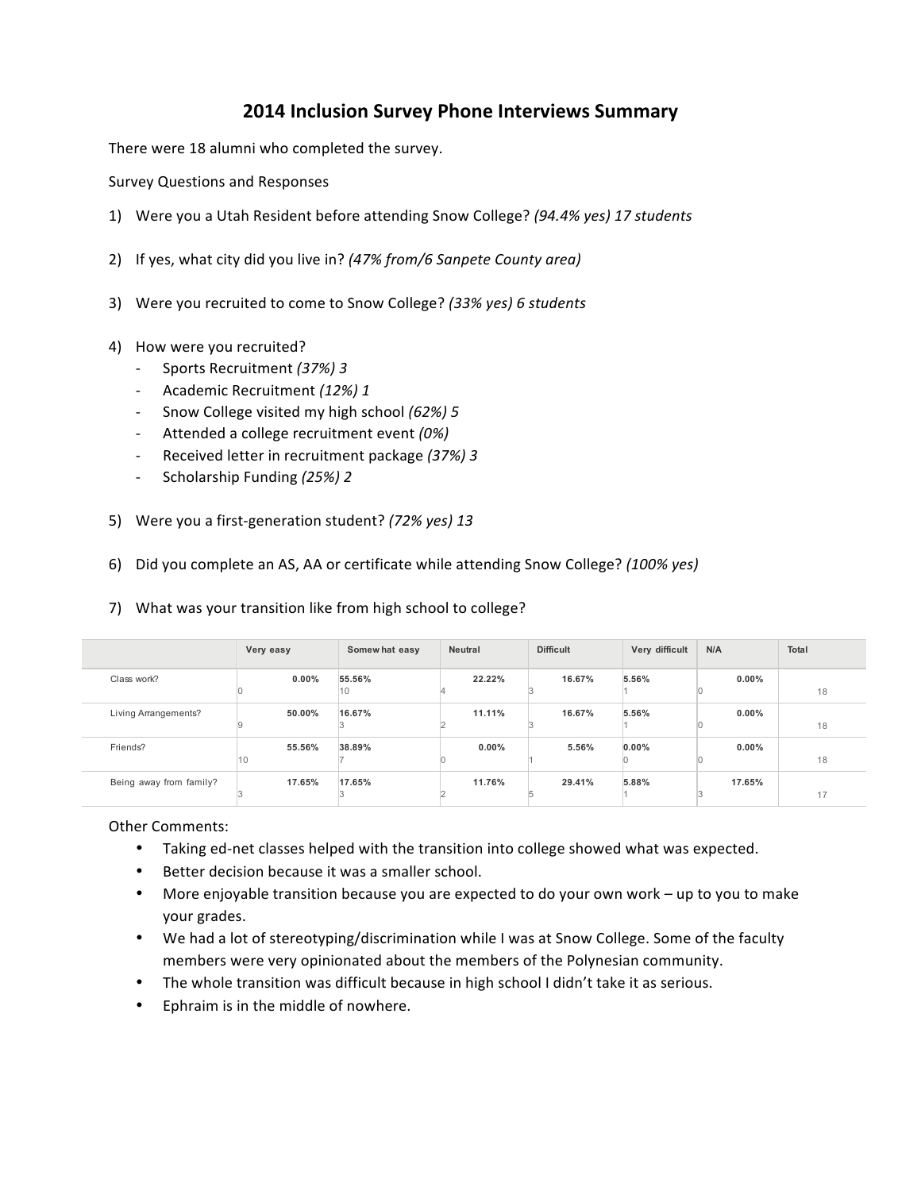## **2014 Inclusion Survey Phone Interviews Summary**

There were 18 alumni who completed the survey.

Survey Questions and Responses

- 1) Were you a Utah Resident before attending Snow College? (94.4% yes) 17 students
- 2) If yes, what city did you live in? (47% from/6 Sanpete County area)
- 3) Were you recruited to come to Snow College? (33% yes) 6 students
- 4) How were you recruited?
	- Sports Recruitment *(37%) 3*
	- Academic Recruitment *(12%) 1*
	- Snow College visited my high school (62%) 5
	- Attended a college recruitment event (0%)
	- Received letter in recruitment package *(37%) 3*
	- Scholarship Funding (25%) 2
- 5) Were you a first-generation student? (72% yes) 13
- 6) Did you complete an AS, AA or certificate while attending Snow College? (100% yes)

## 7) What was your transition like from high school to college?

|                         | Very easy     | Somewhat easy | <b>Neutral</b> | <b>Difficult</b> | Very difficult | N/A      | Total |
|-------------------------|---------------|---------------|----------------|------------------|----------------|----------|-------|
| Class work?             | $0.00\%$      | 55.56%<br>10  | 22.22%         | 16.67%           | 5.56%          | $0.00\%$ | 18    |
| Living Arrangements?    | 50.00%        | 16.67%        | 11.11%         | 16.67%           | 5.56%          | $0.00\%$ | 18    |
| Friends?                | 55.56%<br>110 | 38.89%        | $0.00\%$       | 5.56%            | 0.00%          | $0.00\%$ | 18    |
| Being away from family? | 17.65%        | 17.65%        | 11.76%         | 29.41%           | 5.88%          | 17.65%   | 17    |

## **Other Comments:**

- Taking ed-net classes helped with the transition into college showed what was expected.
- Better decision because it was a smaller school.
- More enjoyable transition because you are expected to do your own work up to you to make your grades.
- We had a lot of stereotyping/discrimination while I was at Snow College. Some of the faculty members were very opinionated about the members of the Polynesian community.
- The whole transition was difficult because in high school I didn't take it as serious.
- Ephraim is in the middle of nowhere.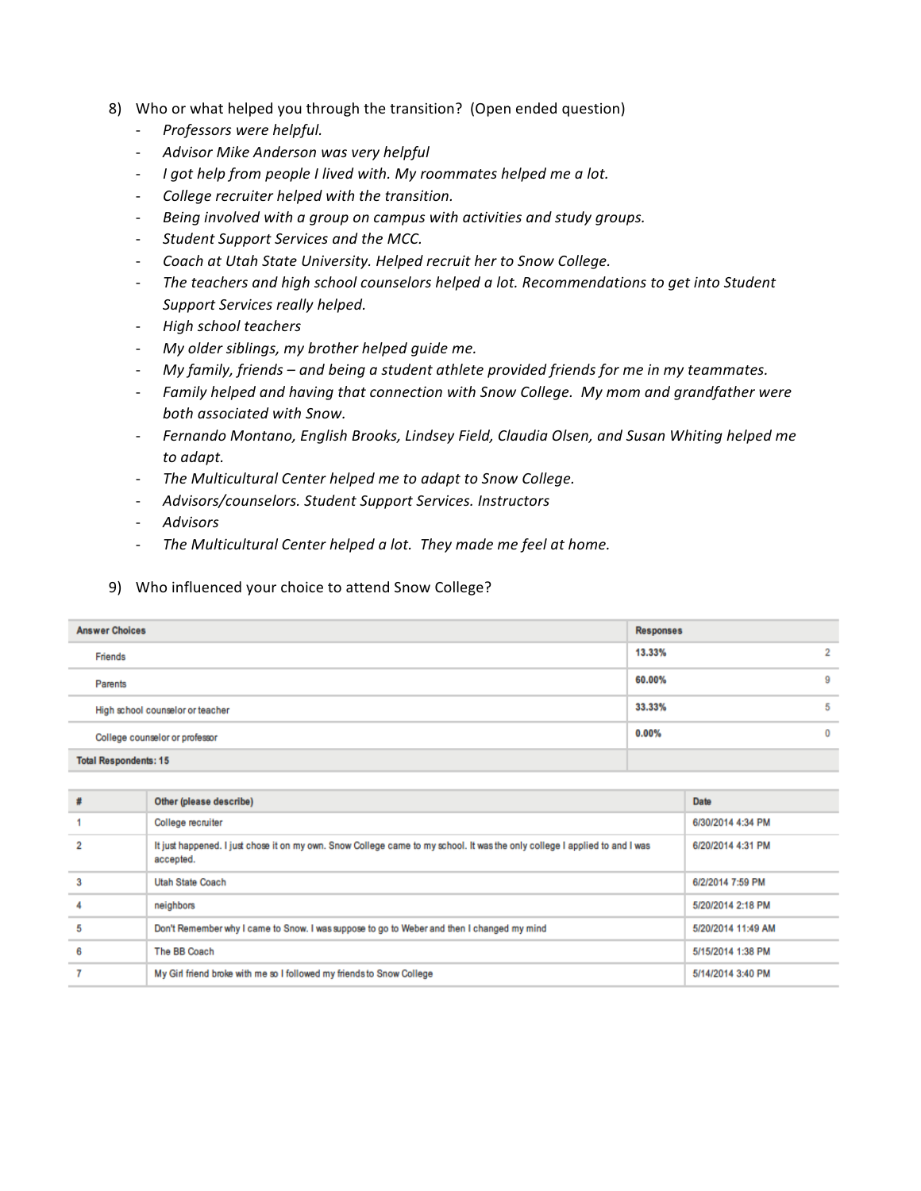- 8) Who or what helped you through the transition? (Open ended question)
	- **Professors** were helpful.
	- Advisor Mike Anderson was very helpful
	- *I* got help from people I lived with. My roommates helped me a lot.
	- College recruiter helped with the transition.
	- Being involved with a group on campus with activities and study groups.
	- Student Support Services and the MCC.
	- Coach at Utah State University. Helped recruit her to Snow College.
	- The teachers and high school counselors helped a lot. Recommendations to get into Student Support Services really helped.
	- *High school teachers*
	- *My older siblings, my brother helped quide me.*
	- *My* family, friends and being a student athlete provided friends for me in my teammates.
	- Family helped and having that connection with Snow College. My mom and grandfather were *both associated with Snow.*
	- Fernando Montano, English Brooks, Lindsey Field, Claudia Olsen, and Susan Whiting helped me *to adapt.*
	- The Multicultural Center helped me to adapt to Snow College.
	- *Advisors/counselors. Student Support Services. Instructors*
	- *Advisors*
	- The Multicultural Center helped a lot. They made me feel at home.

## 9) Who influenced your choice to attend Snow College?

| <b>Answer Choices</b>            | <b>Responses</b> |          |
|----------------------------------|------------------|----------|
| Friends                          | 13.33%           | $\sim$   |
| Parents                          | 60.00%           | 9        |
| High school counselor or teacher | 33.33%           | 5        |
| College counselor or professor   | $0.00\%$         | $\bf{0}$ |
| <b>Total Respondents: 15</b>     |                  |          |

|   | Other (please describe)                                                                                                                  | Date               |
|---|------------------------------------------------------------------------------------------------------------------------------------------|--------------------|
|   | College recruiter                                                                                                                        | 6/30/2014 4:34 PM  |
|   | It just happened. I just chose it on my own. Snow College came to my school. It was the only college I applied to and I was<br>accepted. | 6/20/2014 4:31 PM  |
|   | <b>Utah State Coach</b>                                                                                                                  | 6/2/2014 7:59 PM   |
|   | neighbors                                                                                                                                | 5/20/2014 2:18 PM  |
| s | Don't Remember why I came to Snow. I was suppose to go to Weber and then I changed my mind                                               | 5/20/2014 11:49 AM |
| 6 | The BB Coach                                                                                                                             | 5/15/2014 1:38 PM  |
|   | My Girl friend broke with me so I followed my friends to Snow College                                                                    | 5/14/2014 3:40 PM  |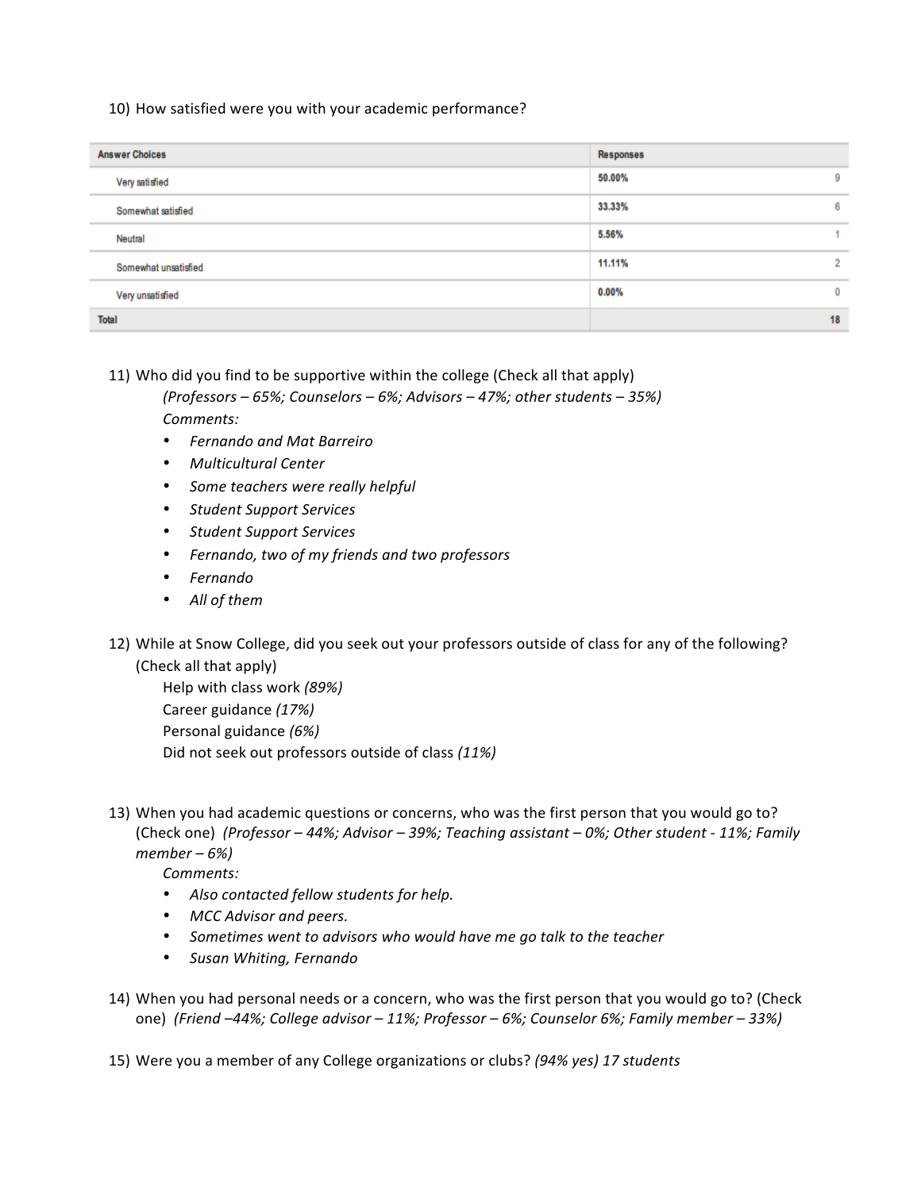10) How satisfied were you with your academic performance?

| <b>Answer Choices</b> | <b>Responses</b>         |
|-----------------------|--------------------------|
| Very satisfied        | 50.00%<br>9              |
| Somewhat satisfied    | 6<br>33.33%              |
| Neutral               | 5.56%                    |
| Somewhat unsatisfied  | $\overline{2}$<br>11.11% |
| Very unsatisfied      | 0.00%<br>$\bf{0}$        |
| <b>Total</b>          | 18                       |

11) Who did you find to be supportive within the college (Check all that apply)

*(Professors – 65%; Counselors – 6%; Advisors – 47%; other students – 35%) Comments:* 

- *Fernando and Mat Barreiro*
- *Multicultural Center*
- *Some teachers were really helpful*
- *Student Support Services*
- *Student Support Services*
- *Fernando, two of my friends and two professors*
- *Fernando*
- All of them
- 12) While at Snow College, did you seek out your professors outside of class for any of the following? (Check all that apply)

Help with class work *(89%)* Career guidance *(17%)* Personal guidance (6%) Did not seek out professors outside of class (11%)

13) When you had academic questions or concerns, who was the first person that you would go to? (Check one) (Professor - 44%; Advisor - 39%; Teaching assistant - 0%; Other student - 11%; Family *member – 6%)*

*Comments:*

- Also contacted fellow students for help.
- MCC Advisor and peers.
- Sometimes went to advisors who would have me go talk to the teacher
- *Susan Whiting, Fernando*
- 14) When you had personal needs or a concern, who was the first person that you would go to? (Check one) *(Friend –44%; College advisor – 11%; Professor – 6%; Counselor 6%; Family member – 33%)*

15) Were you a member of any College organizations or clubs? (94% yes) 17 students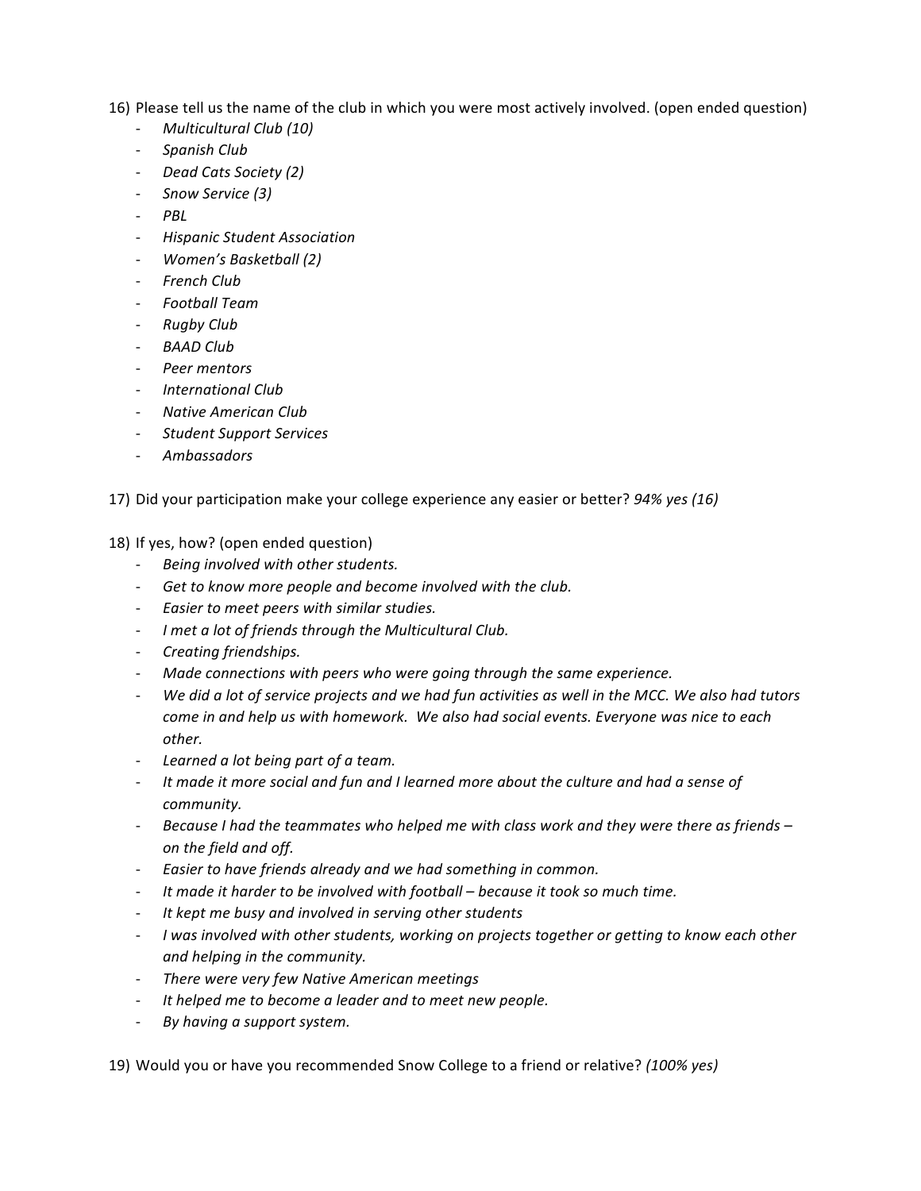16) Please tell us the name of the club in which you were most actively involved. (open ended question)

- **Multicultural Club** (10)
- *Spanish Club*
- *Dead Cats Society (2)*
- *Snow Service (3)*
- *PBL*
- *Hispanic Student Association*
- *Women's Basketball (2)*
- *French Club*
- *Football Team*
- *Rugby Club*
- *BAAD Club*
- *Peer mentors*
- *International Club*
- *Native American Club*
- *Student Support Services*
- **Ambassadors**

17) Did your participation make your college experience any easier or better? *94% yes* (16)

18) If yes, how? (open ended question)

- *Being involved with other students.*
- Get to know more people and become involved with the club.
- Easier to meet peers with similar studies.
- *I* met a lot of friends through the Multicultural Club.
- *Creating friendships.*
- Made connections with peers who were going through the same experience.
- We did a lot of service projects and we had fun activities as well in the MCC. We also had tutors *come in and help us with homework.* We also had social events. Everyone was nice to each *other.*
- Learned a lot being part of a team.
- It made it more social and fun and I learned more about the culture and had a sense of *community.*
- Because I had the teammates who helped me with class work and they were there as friends *on the field and off.*
- Easier to have friends already and we had something in common.
- It made it harder to be involved with football because it took so much time.
- It kept me busy and involved in serving other students
- *I* was involved with other students, working on projects together or getting to know each other *and helping in the community.*
- There were very few Native American meetings
- It helped me to become a leader and to meet new people.
- By having a support system.

19) Would you or have you recommended Snow College to a friend or relative? (100% yes)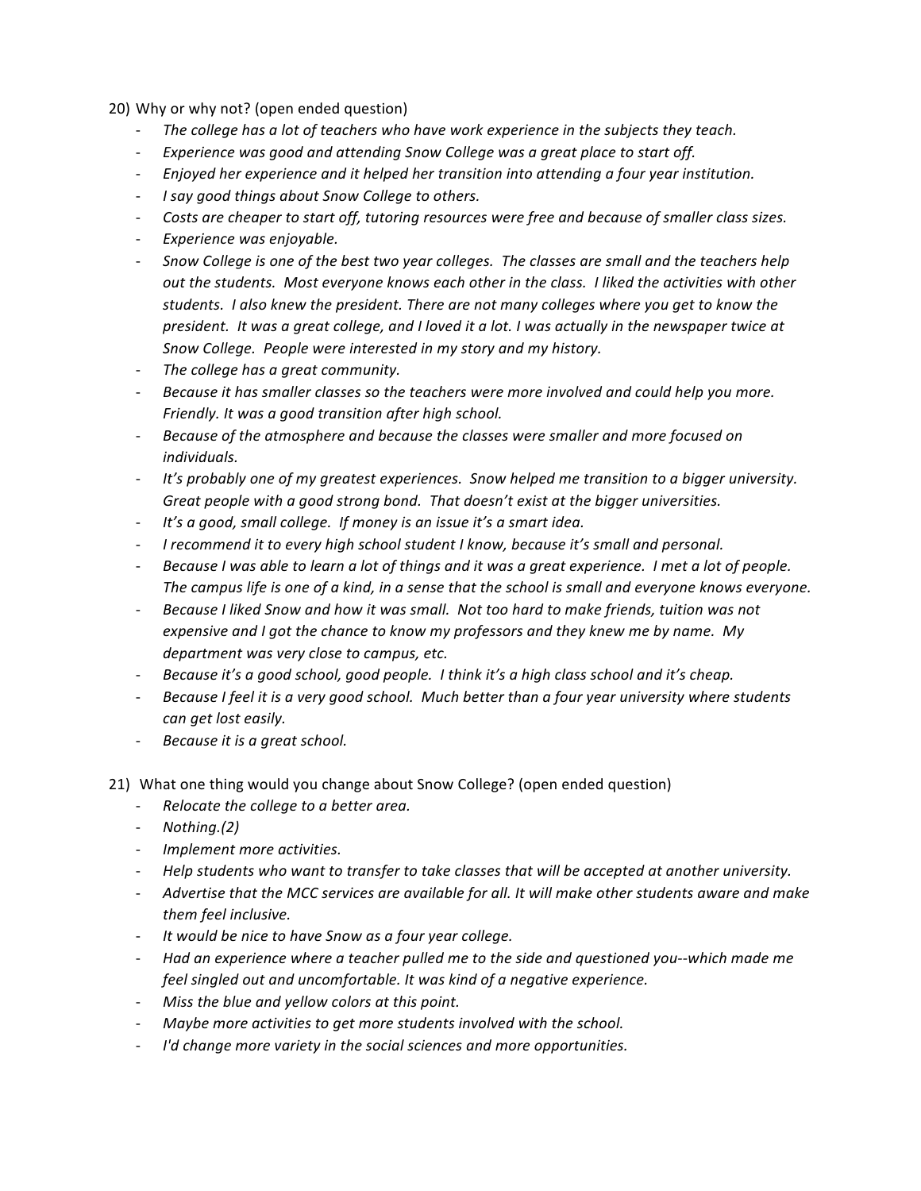20) Why or why not? (open ended question)

- The college has a lot of teachers who have work experience in the subjects they teach.
- *Experience* was good and attending Snow College was a great place to start off.
- *Enjoyed her experience and it helped her transition into attending a four year institution.*
- *I* say good things about Snow College to others.
- *Costs are cheaper to start off, tutoring resources were free and because of smaller class sizes.*
- **Experience was enjoyable.**
- Snow College is one of the best two year colleges. The classes are small and the teachers help out the students. Most everyone knows each other in the class. I liked the activities with other students. I also knew the president. There are not many colleges where you get to know the president. It was a great college, and I loved it a lot. I was actually in the newspaper twice at Snow College. People were interested in my story and my history.
- The college has a great community.
- Because it has smaller classes so the teachers were more involved and could help you more. Friendly. It was a good transition after high school.
- Because of the atmosphere and because the classes were smaller and more focused on *individuals.*
- It's probably one of my greatest experiences. Snow helped me transition to a bigger university. Great people with a good strong bond. That doesn't exist at the bigger universities.
- It's a good, small college. If money is an issue it's a smart idea.
- *I* recommend it to every high school student I know, because it's small and personal.
- Because I was able to learn a lot of things and it was a great experience. I met a lot of people. The campus life is one of a kind, in a sense that the school is small and everyone knows everyone.
- Because I liked Snow and how it was small. Not too hard to make friends, tuition was not *expensive and I got the chance to know my professors and they knew me by name. My department* was very close to campus, etc.
- *Because it's a good school, good people.* I think it's a high class school and it's cheap.
- Because I feel it is a very good school. Much better than a four year university where students *can get lost easily.*
- *Because it is a great school.*
- 21) What one thing would you change about Snow College? (open ended question)
	- Relocate the college to a better area.
	- *Nothing.(2)*
	- *Implement more activities.*
	- Help students who want to transfer to take classes that will be accepted at another university.
	- Advertise that the MCC services are available for all. It will make other students aware and make *them feel inclusive.*
	- It would be nice to have Snow as a four year college.
	- *Had* an experience where a teacher pulled me to the side and questioned you--which made me *feel singled out and uncomfortable. It was kind of a negative experience.*
	- Miss the blue and yellow colors at this point.
	- *Maybe more activities to get more students involved with the school.*
	- *I'd change more variety in the social sciences and more opportunities.*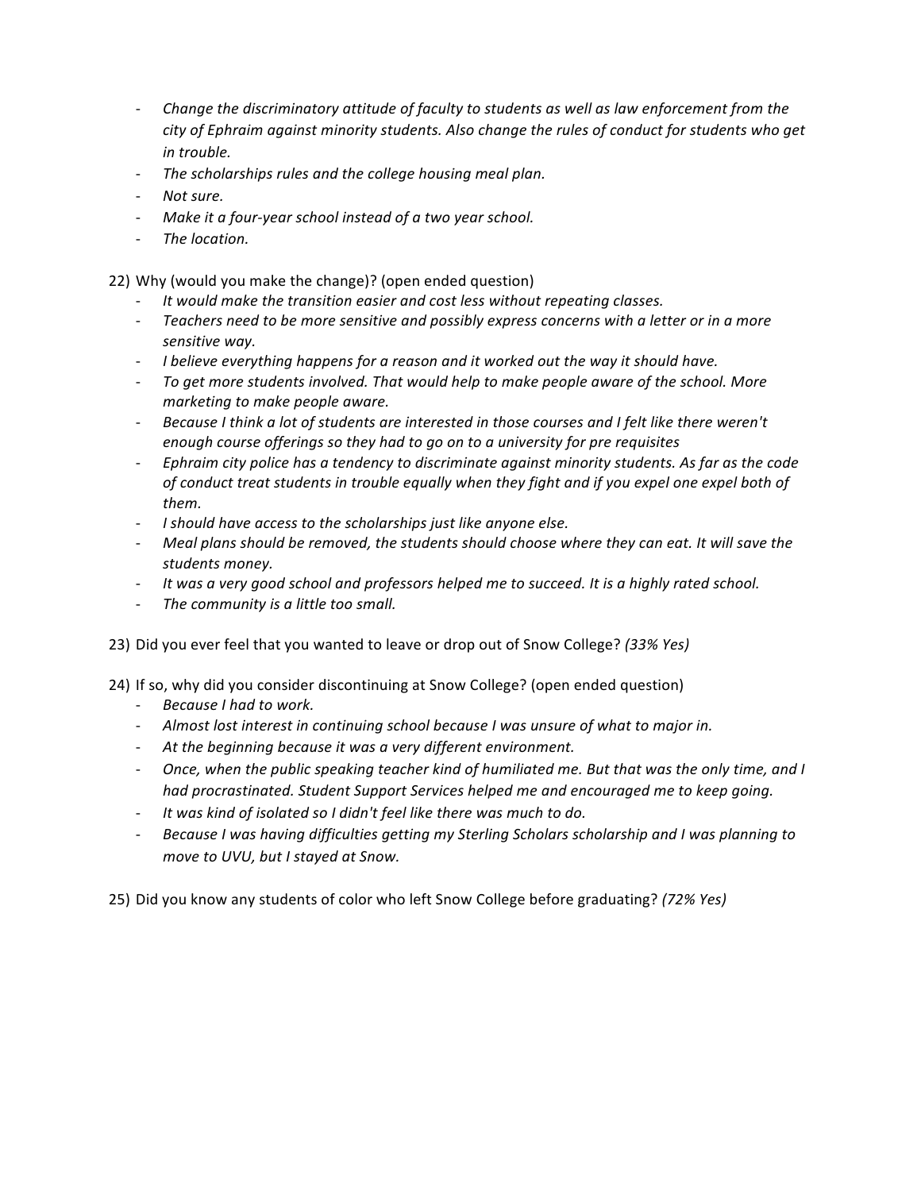- *Change the discriminatory attitude of faculty to students as well as law enforcement from the* city of Ephraim against minority students. Also change the rules of conduct for students who get *in trouble.*
- The scholarships rules and the college housing meal plan.
- *Not sure.*
- Make it a four-year school instead of a two year school.
- The location.

22) Why (would you make the change)? (open ended question)

- It would make the transition easier and cost less without repeating classes.
- Teachers need to be more sensitive and possibly express concerns with a letter or in a more *sensitive way.*
- I believe everything happens for a reason and it worked out the way it should have.
- To get more students involved. That would help to make people aware of the school. More *marketing to make people aware.*
- Because I think a lot of students are interested in those courses and I felt like there weren't *enough course offerings so they had to go on to a university for pre requisites*
- *Ephraim city police has a tendency to discriminate against minority students. As far as the code of conduct treat students in trouble equally when they fight and if you expel one expel both of them.*
- I should have access to the scholarships just like anyone else.
- Meal plans should be removed, the students should choose where they can eat. It will save the *students money.*
- It was a very good school and professors helped me to succeed. It is a highly rated school.
- The community is a little too small.
- 23) Did you ever feel that you wanted to leave or drop out of Snow College? (33% Yes)

24) If so, why did you consider discontinuing at Snow College? (open ended question)

- *Because I had to work.*
- Almost lost interest in continuing school because I was unsure of what to major in.
- At the beginning because it was a very different environment.
- Once, when the public speaking teacher kind of humiliated me. But that was the only time, and I *had procrastinated.* Student Support Services helped me and encouraged me to keep going.
- It was kind of isolated so I didn't feel like there was much to do.
- Because I was having difficulties getting my Sterling Scholars scholarship and I was planning to *move to UVU, but I stayed at Snow.*

25) Did you know any students of color who left Snow College before graduating? (72% Yes)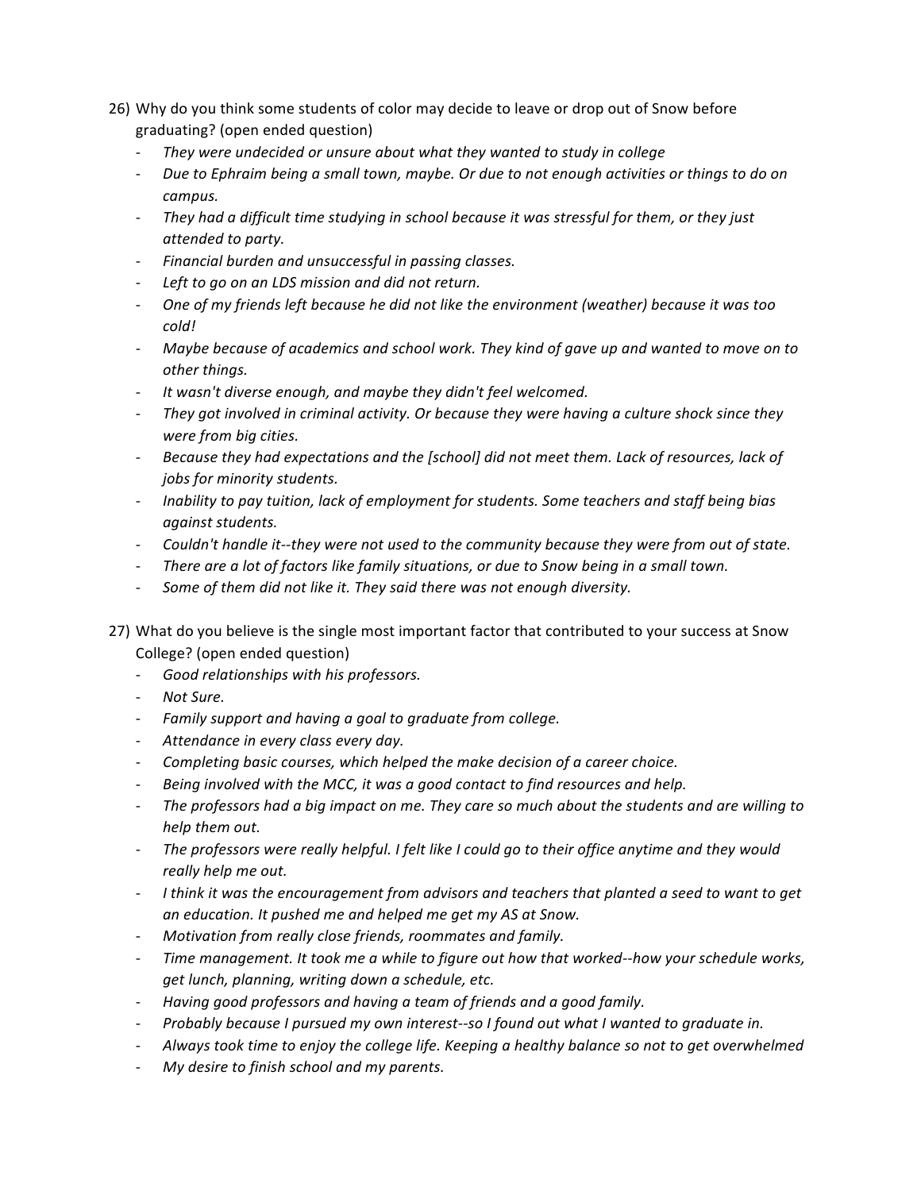- 26) Why do you think some students of color may decide to leave or drop out of Snow before graduating? (open ended question)
	- They were undecided or unsure about what they wanted to study in college
	- Due to Ephraim being a small town, maybe. Or due to not enough activities or things to do on *campus.*
	- They had a difficult time studying in school because it was stressful for them, or they just *attended to party.*
	- *Financial burden and unsuccessful in passing classes.*
	- Left to go on an LDS mission and did not return.
	- One of my friends left because he did not like the environment (weather) because it was too *cold!*
	- Maybe because of academics and school work. They kind of gave up and wanted to move on to *other things.*
	- It wasn't diverse enough, and maybe they didn't feel welcomed.
	- They got involved in criminal activity. Or because they were having a culture shock since they *were from big cities.*
	- Because they had expectations and the *[school]* did not meet them. Lack of resources, lack of *jobs for minority students.*
	- *Inability to pay tuition, lack of employment for students. Some teachers and staff being bias against students.*
	- *Couldn't handle it--they were not used to the community because they were from out of state.*
	- There are a lot of factors like family situations, or due to Snow being in a small town.
	- Some of them did not like it. They said there was not enough diversity.
- 27) What do you believe is the single most important factor that contributed to your success at Snow College? (open ended question)
	- Good relationships with his professors.
	- *Not Sure.*
	- Family support and having a goal to graduate from college.
	- Attendance in every class every day.
	- *Completing basic courses, which helped the make decision of a career choice.*
	- Being involved with the MCC, it was a good contact to find resources and help.
	- The professors had a big impact on me. They care so much about the students and are willing to *help them out.*
	- The professors were really helpful. I felt like I could go to their office anytime and they would *really help me out.*
	- I think it was the encouragement from advisors and teachers that planted a seed to want to get an education. It pushed me and helped me get my AS at Snow.
	- Motivation from really close friends, roommates and family.
	- Time management. It took me a while to figure out how that worked--how your schedule works, get lunch, planning, writing down a schedule, etc.
	- *Having good professors and having a team of friends and a good family.*
	- *Probably because I pursued my own interest--so I found out what I wanted to graduate in.*
	- Always took time to enjoy the college life. Keeping a healthy balance so not to get overwhelmed
	- My desire to finish school and my parents.